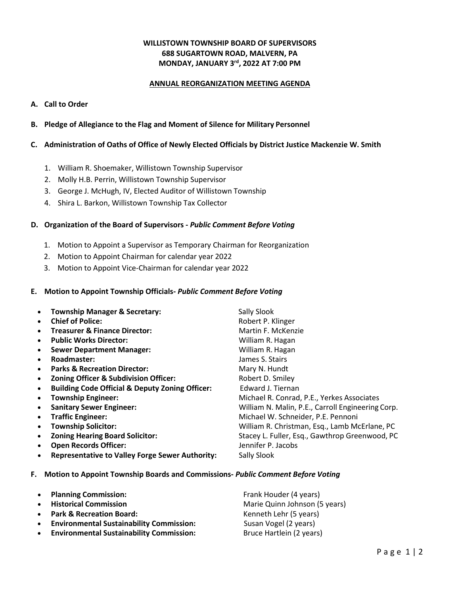### **WILLISTOWN TOWNSHIP BOARD OF SUPERVISORS 688 SUGARTOWN ROAD, MALVERN, PA MONDAY, JANUARY 3rd, 2022 AT 7:00 PM**

### **ANNUAL REORGANIZATION MEETING AGENDA**

### **A. Call to Order**

- **B. Pledge of Allegiance to the Flag and Moment of Silence for Military Personnel**
- **C. Administration of Oaths of Office of Newly Elected Officials by District Justice Mackenzie W. Smith**
	- 1. William R. Shoemaker, Willistown Township Supervisor
	- 2. Molly H.B. Perrin, Willistown Township Supervisor
	- 3. George J. McHugh, IV, Elected Auditor of Willistown Township
	- 4. Shira L. Barkon, Willistown Township Tax Collector

#### **D. Organization of the Board of Supervisors -** *Public Comment Before Voting*

- 1. Motion to Appoint a Supervisor as Temporary Chairman for Reorganization
- 2. Motion to Appoint Chairman for calendar year 2022
- 3. Motion to Appoint Vice-Chairman for calendar year 2022

#### **E. Motion to Appoint Township Officials-** *Public Comment Before Voting*

|           | <b>Township Manager &amp; Secretary:</b>                   | Sally Slook                                       |
|-----------|------------------------------------------------------------|---------------------------------------------------|
|           | <b>Chief of Police:</b>                                    | Robert P. Klinger                                 |
|           | <b>Treasurer &amp; Finance Director:</b>                   | Martin F. McKenzie                                |
| $\bullet$ | <b>Public Works Director:</b>                              | William R. Hagan                                  |
|           | <b>Sewer Department Manager:</b>                           | William R. Hagan                                  |
| $\bullet$ | Roadmaster:                                                | James S. Stairs                                   |
| $\bullet$ | <b>Parks &amp; Recreation Director:</b>                    | Mary N. Hundt                                     |
| $\bullet$ | Zoning Officer & Subdivision Officer:                      | Robert D. Smiley                                  |
|           | <b>Building Code Official &amp; Deputy Zoning Officer:</b> | Edward J. Tiernan                                 |
| $\bullet$ | <b>Township Engineer:</b>                                  | Michael R. Conrad, P.E., Yerkes Associates        |
|           | <b>Sanitary Sewer Engineer:</b>                            | William N. Malin, P.E., Carroll Engineering Corp. |
| $\bullet$ | <b>Traffic Engineer:</b>                                   | Michael W. Schneider, P.E. Pennoni                |
|           | <b>Township Solicitor:</b>                                 | William R. Christman, Esq., Lamb McErlane, PC     |
|           | <b>Zoning Hearing Board Solicitor:</b>                     | Stacey L. Fuller, Esq., Gawthrop Greenwood, PC    |
| $\bullet$ | <b>Open Records Officer:</b>                               | Jennifer P. Jacobs                                |
| $\bullet$ | <b>Representative to Valley Forge Sewer Authority:</b>     | Sally Slook                                       |

**F. Motion to Appoint Township Boards and Commissions-** *Public Comment Before Voting*

| $\bullet$ | <b>Planning Commission:</b>                     | Frank Houder (4 years)        |
|-----------|-------------------------------------------------|-------------------------------|
| $\bullet$ | <b>Historical Commission</b>                    | Marie Quinn Johnson (5 years) |
| $\bullet$ | <b>Park &amp; Recreation Board:</b>             | Kenneth Lehr (5 years)        |
| $\bullet$ | <b>Environmental Sustainability Commission:</b> | Susan Vogel (2 years)         |
| $\bullet$ | <b>Environmental Sustainability Commission:</b> | Bruce Hartlein (2 years)      |
|           |                                                 |                               |